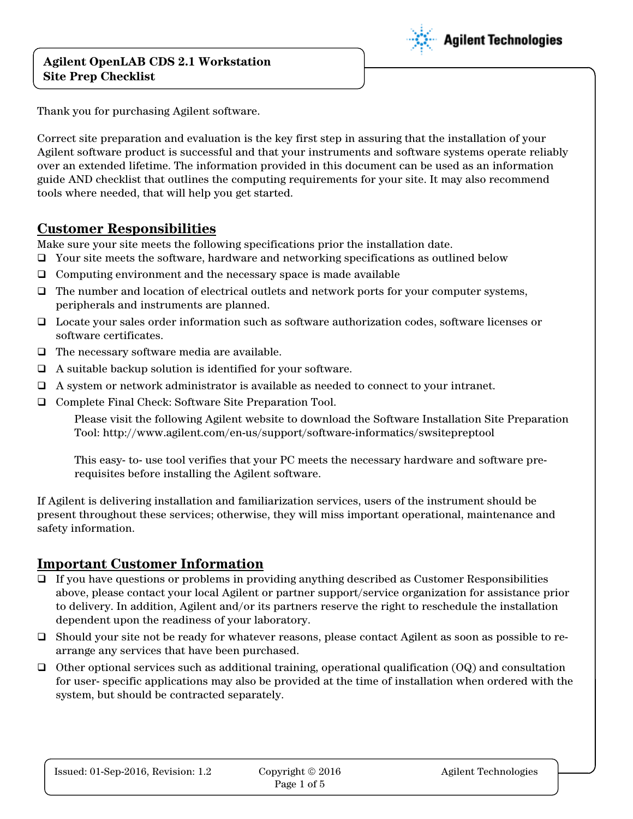

Thank you for purchasing Agilent software.

Correct site preparation and evaluation is the key first step in assuring that the installation of your Agilent software product is successful and that your instruments and software systems operate reliably over an extended lifetime. The information provided in this document can be used as an information guide AND checklist that outlines the computing requirements for your site. It may also recommend tools where needed, that will help you get started.

### **Customer Responsibilities**

Make sure your site meets the following specifications prior the installation date.

- $\Box$  Your site meets the software, hardware and networking specifications as outlined below
- $\Box$  Computing environment and the necessary space is made available
- $\Box$  The number and location of electrical outlets and network ports for your computer systems, peripherals and instruments are planned.
- Locate your sales order information such as software authorization codes, software licenses or software certificates.
- $\Box$  The necessary software media are available.
- $\Box$  A suitable backup solution is identified for your software.
- $\Box$  A system or network administrator is available as needed to connect to your intranet.
- Complete Final Check: Software Site Preparation Tool.

Please visit the following Agilent website to download the Software Installation Site Preparation Tool: http://www.agilent.com/en-us/support/software-informatics/swsitepreptool

This easy- to- use tool verifies that your PC meets the necessary hardware and software prerequisites before installing the Agilent software.

If Agilent is delivering installation and familiarization services, users of the instrument should be present throughout these services; otherwise, they will miss important operational, maintenance and safety information.

### **Important Customer Information**

- $\Box$  If you have questions or problems in providing anything described as Customer Responsibilities above, please contact your local Agilent or partner support/service organization for assistance prior to delivery. In addition, Agilent and/or its partners reserve the right to reschedule the installation dependent upon the readiness of your laboratory.
- Should your site not be ready for whatever reasons, please contact Agilent as soon as possible to rearrange any services that have been purchased.
- $\Box$  Other optional services such as additional training, operational qualification (OQ) and consultation for user- specific applications may also be provided at the time of installation when ordered with the system, but should be contracted separately.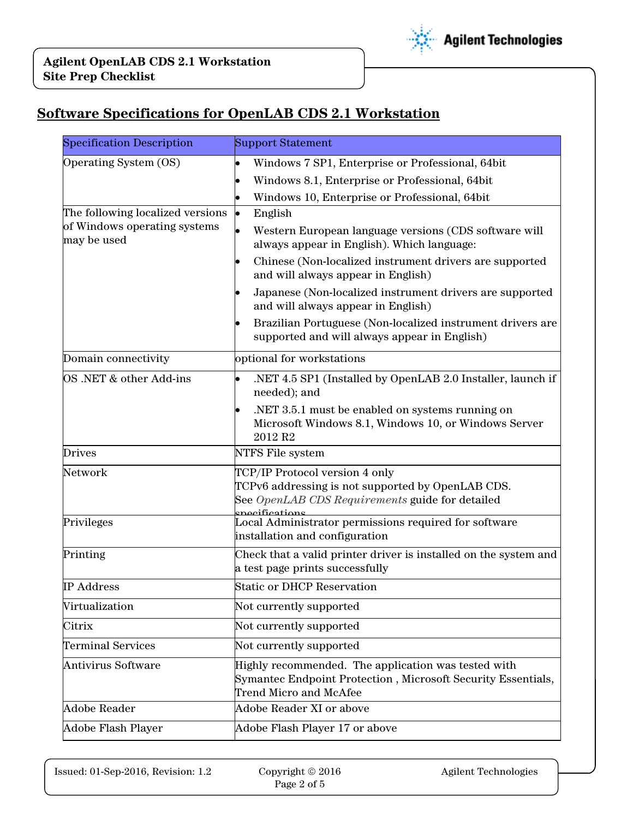

# **Software Specifications for OpenLAB CDS 2.1 Workstation**

| <b>Specification Description</b>            | <b>Support Statement</b>                                                                                                                                 |  |
|---------------------------------------------|----------------------------------------------------------------------------------------------------------------------------------------------------------|--|
| Operating System (OS)                       | Windows 7 SP1, Enterprise or Professional, 64bit<br>$\bullet$                                                                                            |  |
|                                             | Windows 8.1, Enterprise or Professional, 64bit                                                                                                           |  |
|                                             | Windows 10, Enterprise or Professional, 64bit<br>$\bullet$                                                                                               |  |
| The following localized versions            | þ<br>English                                                                                                                                             |  |
| of Windows operating systems<br>may be used | Western European language versions (CDS software will<br>$\bullet$<br>always appear in English). Which language:                                         |  |
|                                             | Chinese (Non-localized instrument drivers are supported<br>and will always appear in English)                                                            |  |
|                                             | Japanese (Non-localized instrument drivers are supported<br>and will always appear in English)                                                           |  |
|                                             | Brazilian Portuguese (Non-localized instrument drivers are<br>supported and will always appear in English)                                               |  |
| Domain connectivity                         | optional for workstations                                                                                                                                |  |
| OS .NET & other Add-ins                     | .NET 4.5 SP1 (Installed by OpenLAB 2.0 Installer, launch if<br>needed); and                                                                              |  |
|                                             | .NET 3.5.1 must be enabled on systems running on<br>Microsoft Windows 8.1, Windows 10, or Windows Server<br>2012 R <sub>2</sub>                          |  |
| <b>Drives</b>                               | NTFS File system                                                                                                                                         |  |
| Network                                     | TCP/IP Protocol version 4 only<br>TCPv6 addressing is not supported by OpenLAB CDS.<br>See OpenLAB CDS Requirements guide for detailed<br>necifications: |  |
| Privileges                                  | Local Administrator permissions required for software<br>installation and configuration                                                                  |  |
| Printing                                    | Check that a valid printer driver is installed on the system and<br>a test page prints successfully                                                      |  |
| <b>IP Address</b>                           | <b>Static or DHCP Reservation</b>                                                                                                                        |  |
| Virtualization                              | Not currently supported                                                                                                                                  |  |
| Citrix                                      | Not currently supported                                                                                                                                  |  |
| <b>Terminal Services</b>                    | Not currently supported                                                                                                                                  |  |
| <b>Antivirus Software</b>                   | Highly recommended. The application was tested with<br>Symantec Endpoint Protection, Microsoft Security Essentials,<br>Trend Micro and McAfee            |  |
| <b>Adobe Reader</b>                         | Adobe Reader XI or above                                                                                                                                 |  |
| Adobe Flash Player                          | Adobe Flash Player 17 or above                                                                                                                           |  |

Issued: 01-Sep-2016, Revision: 1.2 Copyright © 2016 Agilent Technologies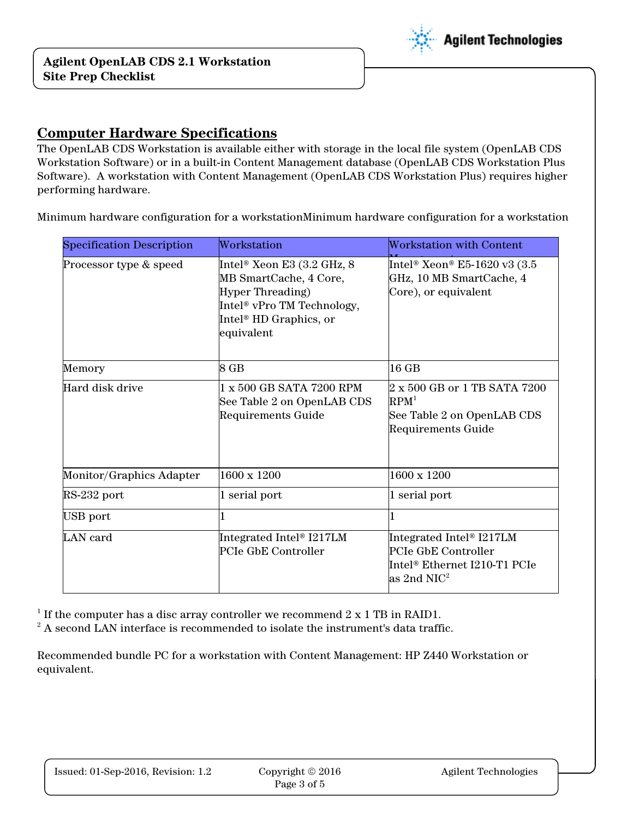

### **Computer Hardware Specifications**

The OpenLAB CDS Workstation is available either with storage in the local file system (OpenLAB CDS Workstation Software) or in a built-in Content Management database (OpenLAB CDS Workstation Plus Software). A workstation with Content Management (OpenLAB CDS Workstation Plus) requires higher performing hardware.

Minimum hardware configuration for a workstationMinimum hardware configuration for a workstation

| <b>Specification Description</b> | Workstation                                                                                                                                                                    | <b>Workstation with Content</b>                                                                                      |
|----------------------------------|--------------------------------------------------------------------------------------------------------------------------------------------------------------------------------|----------------------------------------------------------------------------------------------------------------------|
| Processor type & speed           | Intel® Xeon E3 (3.2 GHz, 8<br>MB SmartCache, 4 Core,<br><b>Hyper Threading</b> )<br>Intel <sup>®</sup> vPro TM Technology,<br>Intel <sup>®</sup> HD Graphics, or<br>equivalent | Intel® Xeon® E5-1620 v3 (3.5<br>GHz, 10 MB SmartCache, 4<br>Core), or equivalent                                     |
| Memory                           | 8 GB                                                                                                                                                                           | 16 GB                                                                                                                |
| Hard disk drive                  | 1 x 500 GB SATA 7200 RPM<br>See Table 2 on OpenLAB CDS<br>Requirements Guide                                                                                                   | 2 x 500 GB or 1 TB SATA 7200<br>RPM <sup>1</sup><br>See Table 2 on OpenLAB CDS<br>Requirements Guide                 |
| Monitor/Graphics Adapter         | 1600 x 1200                                                                                                                                                                    | 1600 x 1200                                                                                                          |
| RS-232 port                      | 1 serial port                                                                                                                                                                  | 1 serial port                                                                                                        |
| USB port                         |                                                                                                                                                                                |                                                                                                                      |
| LAN card                         | Integrated Intel <sup>®</sup> I217LM<br>PCIe GbE Controller                                                                                                                    | Integrated Intel <sup>®</sup> I217LM<br>PCIe GbE Controller<br>Intel® Ethernet I210-T1 PCIe<br>as 2nd NIC $^{\rm 2}$ |

<sup>1</sup> If the computer has a disc array controller we recommend  $2 \times 1$  TB in RAID1.

 $2^2$  A second LAN interface is recommended to isolate the instrument's data traffic.

Recommended bundle PC for a workstation with Content Management: HP Z440 Workstation or equivalent.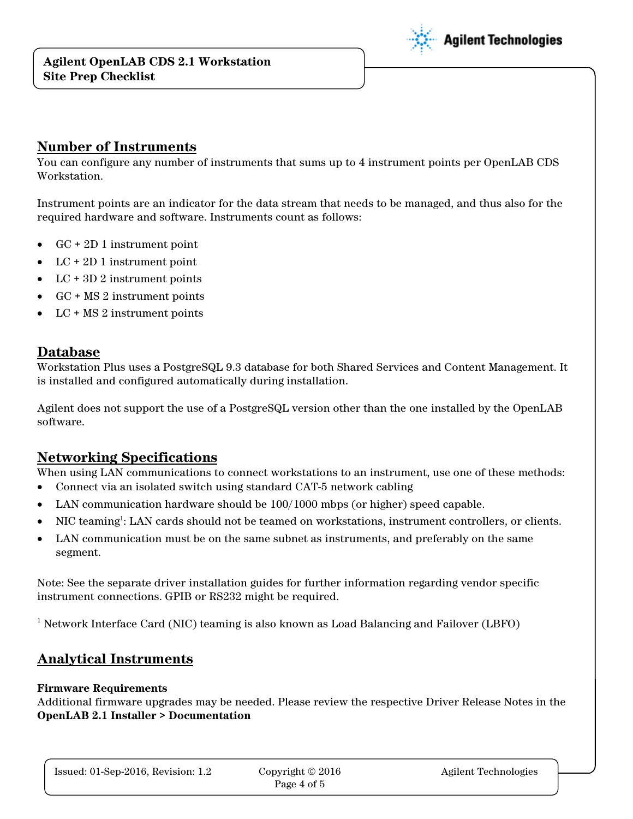

#### **Number of Instruments**

You can configure any number of instruments that sums up to 4 instrument points per OpenLAB CDS Workstation.

Instrument points are an indicator for the data stream that needs to be managed, and thus also for the required hardware and software. Instruments count as follows:

- GC + 2D 1 instrument point
- $LC + 2D1$  instrument point
- LC + 3D 2 instrument points
- GC + MS 2 instrument points
- LC + MS 2 instrument points

## **Database**

Workstation Plus uses a PostgreSQL 9.3 database for both Shared Services and Content Management. It is installed and configured automatically during installation.

Agilent does not support the use of a PostgreSQL version other than the one installed by the OpenLAB software.

## **Networking Specifications**

When using LAN communications to connect workstations to an instrument, use one of these methods:

- Connect via an isolated switch using standard CAT-5 network cabling
- LAN communication hardware should be 100/1000 mbps (or higher) speed capable.
- NIC teaming<sup>1</sup>: LAN cards should not be teamed on workstations, instrument controllers, or clients.
- LAN communication must be on the same subnet as instruments, and preferably on the same segment.

Note: See the separate driver installation guides for further information regarding vendor specific instrument connections. GPIB or RS232 might be required.

<sup>1</sup> Network Interface Card (NIC) teaming is also known as Load Balancing and Failover (LBFO)

## **Analytical Instruments**

#### **Firmware Requirements**

Additional firmware upgrades may be needed. Please review the respective Driver Release Notes in the **OpenLAB 2.1 Installer > Documentation**

Issued: 01-Sep-2016, Revision: 1.2 Copyright 
© 2016 Agilent Technologies